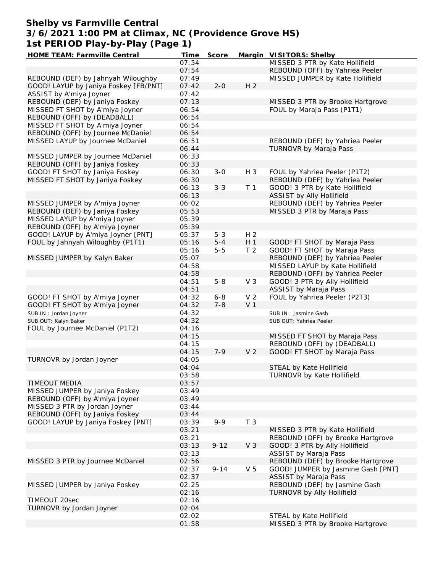### **Shelby vs Farmville Central 3/6/2021 1:00 PM at Climax, NC (Providence Grove HS) 1st PERIOD Play-by-Play (Page 1)**

| HOME TEAM: Farmville Central          | Time  | Score    |                | Margin VISITORS: Shelby            |
|---------------------------------------|-------|----------|----------------|------------------------------------|
|                                       | 07:54 |          |                | MISSED 3 PTR by Kate Hollifield    |
|                                       | 07:54 |          |                | REBOUND (OFF) by Yahriea Peeler    |
| REBOUND (DEF) by Jahnyah Wiloughby    | 07:49 |          |                | MISSED JUMPER by Kate Hollifield   |
| GOOD! LAYUP by Janiya Foskey [FB/PNT] | 07:42 | $2 - 0$  | H <sub>2</sub> |                                    |
| ASSIST by A'miya Joyner               | 07:42 |          |                |                                    |
| REBOUND (DEF) by Janiya Foskey        | 07:13 |          |                | MISSED 3 PTR by Brooke Hartgrove   |
| MISSED FT SHOT by A'miya Joyner       | 06:54 |          |                | FOUL by Maraja Pass (P1T1)         |
| REBOUND (OFF) by (DEADBALL)           | 06:54 |          |                |                                    |
| MISSED FT SHOT by A'miya Joyner       | 06:54 |          |                |                                    |
| REBOUND (OFF) by Journee McDaniel     | 06:54 |          |                |                                    |
| MISSED LAYUP by Journee McDaniel      | 06:51 |          |                | REBOUND (DEF) by Yahriea Peeler    |
|                                       | 06:44 |          |                | TURNOVR by Maraja Pass             |
| MISSED JUMPER by Journee McDaniel     | 06:33 |          |                |                                    |
| REBOUND (OFF) by Janiya Foskey        | 06:33 |          |                |                                    |
| GOOD! FT SHOT by Janiya Foskey        | 06:30 | $3 - 0$  | H 3            | FOUL by Yahriea Peeler (P1T2)      |
| MISSED FT SHOT by Janiya Foskey       | 06:30 |          |                | REBOUND (DEF) by Yahriea Peeler    |
|                                       | 06:13 | $3 - 3$  | T <sub>1</sub> | GOOD! 3 PTR by Kate Hollifield     |
|                                       | 06:13 |          |                | ASSIST by Ally Hollifield          |
| MISSED JUMPER by A'miya Joyner        | 06:02 |          |                | REBOUND (DEF) by Yahriea Peeler    |
| REBOUND (DEF) by Janiya Foskey        | 05:53 |          |                | MISSED 3 PTR by Maraja Pass        |
| MISSED LAYUP by A'miya Joyner         | 05:39 |          |                |                                    |
| REBOUND (OFF) by A'miya Joyner        | 05:39 |          |                |                                    |
| GOOD! LAYUP by A'miya Joyner [PNT]    | 05:37 | $5 - 3$  | H <sub>2</sub> |                                    |
| FOUL by Jahnyah Wiloughby (P1T1)      | 05:16 | $5 - 4$  | $H_1$          | GOOD! FT SHOT by Maraja Pass       |
|                                       | 05:16 | $5 - 5$  | T <sub>2</sub> | GOOD! FT SHOT by Maraja Pass       |
| MISSED JUMPER by Kalyn Baker          | 05:07 |          |                | REBOUND (DEF) by Yahriea Peeler    |
|                                       | 04:58 |          |                | MISSED LAYUP by Kate Hollifield    |
|                                       | 04:58 |          |                | REBOUND (OFF) by Yahriea Peeler    |
|                                       | 04:51 | $5 - 8$  | V <sub>3</sub> | GOOD! 3 PTR by Ally Hollifield     |
|                                       | 04:51 |          |                | <b>ASSIST by Maraja Pass</b>       |
| GOOD! FT SHOT by A'miya Joyner        | 04:32 | $6 - 8$  | V <sub>2</sub> | FOUL by Yahriea Peeler (P2T3)      |
| GOOD! FT SHOT by A'miya Joyner        | 04:32 | $7 - 8$  | V <sub>1</sub> |                                    |
| SUB IN: Jordan Joyner                 | 04:32 |          |                | SUB IN: Jasmine Gash               |
| SUB OUT: Kalyn Baker                  | 04:32 |          |                | SUB OUT: Yahriea Peeler            |
| FOUL by Journee McDaniel (P1T2)       | 04:16 |          |                |                                    |
|                                       | 04:15 |          |                | MISSED FT SHOT by Maraja Pass      |
|                                       | 04:15 |          |                | REBOUND (OFF) by (DEADBALL)        |
|                                       | 04:15 | $7 - 9$  | V <sub>2</sub> | GOOD! FT SHOT by Maraja Pass       |
| TURNOVR by Jordan Joyner              | 04:05 |          |                |                                    |
|                                       | 04:04 |          |                | STEAL by Kate Hollifield           |
|                                       | 03:58 |          |                | TURNOVR by Kate Hollifield         |
| TIMEOUT MEDIA                         | 03:57 |          |                |                                    |
| MISSED JUMPER by Janiya Foskey        | 03:49 |          |                |                                    |
| REBOUND (OFF) by A'miya Joyner        | 03:49 |          |                |                                    |
| MISSED 3 PTR by Jordan Joyner         | 03:44 |          |                |                                    |
| REBOUND (OFF) by Janiya Foskey        | 03:44 |          |                |                                    |
| GOOD! LAYUP by Janiya Foskey [PNT]    | 03:39 | $9 - 9$  | T <sub>3</sub> |                                    |
|                                       | 03:21 |          |                | MISSED 3 PTR by Kate Hollifield    |
|                                       | 03:21 |          |                | REBOUND (OFF) by Brooke Hartgrove  |
|                                       | 03:13 | $9 - 12$ | V <sub>3</sub> | GOOD! 3 PTR by Ally Hollifield     |
|                                       | 03:13 |          |                | <b>ASSIST by Maraja Pass</b>       |
| MISSED 3 PTR by Journee McDaniel      | 02:56 |          |                | REBOUND (DEF) by Brooke Hartgrove  |
|                                       | 02:37 | $9 - 14$ | V <sub>5</sub> | GOOD! JUMPER by Jasmine Gash [PNT] |
|                                       | 02:37 |          |                | <b>ASSIST by Maraja Pass</b>       |
| MISSED JUMPER by Janiya Foskey        | 02:25 |          |                | REBOUND (DEF) by Jasmine Gash      |
|                                       | 02:16 |          |                | TURNOVR by Ally Hollifield         |
| TIMEOUT 20sec                         | 02:16 |          |                |                                    |
| TURNOVR by Jordan Joyner              | 02:04 |          |                |                                    |
|                                       | 02:02 |          |                | STEAL by Kate Hollifield           |
|                                       | 01:58 |          |                | MISSED 3 PTR by Brooke Hartgrove   |
|                                       |       |          |                |                                    |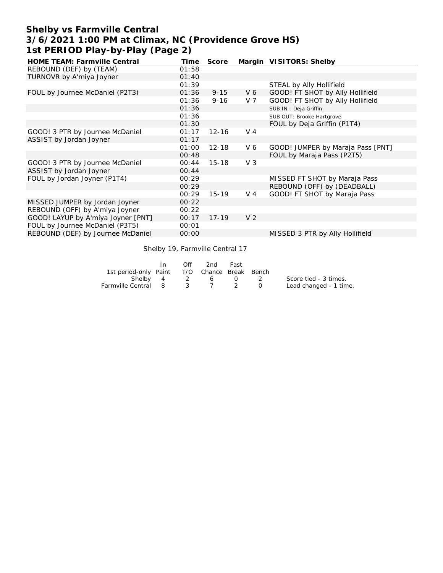## **Shelby vs Farmville Central 3/6/2021 1:00 PM at Climax, NC (Providence Grove HS) 1st PERIOD Play-by-Play (Page 2)**

| <b>HOME TEAM: Farmville Central</b> | Time  | Score     |                | Margin VISITORS: Shelby           |
|-------------------------------------|-------|-----------|----------------|-----------------------------------|
| REBOUND (DEF) by (TEAM)             | 01:58 |           |                |                                   |
| TURNOVR by A'miya Joyner            | 01:40 |           |                |                                   |
|                                     | 01:39 |           |                | STEAL by Ally Hollifield          |
| FOUL by Journee McDaniel (P2T3)     | 01:36 | $9 - 15$  | V6             | GOOD! FT SHOT by Ally Hollifield  |
|                                     | 01:36 | $9 - 16$  | V 7            | GOOD! FT SHOT by Ally Hollifield  |
|                                     | 01:36 |           |                | SUB IN: Deja Griffin              |
|                                     | 01:36 |           |                | SUB OUT: Brooke Hartgrove         |
|                                     | 01:30 |           |                | FOUL by Deja Griffin (P1T4)       |
| GOOD! 3 PTR by Journee McDaniel     | 01:17 | $12 - 16$ | $V_4$          |                                   |
| ASSIST by Jordan Joyner             | 01:17 |           |                |                                   |
|                                     | 01:00 | $12 - 18$ | V6             | GOOD! JUMPER by Maraja Pass [PNT] |
|                                     | 00:48 |           |                | FOUL by Maraja Pass (P2T5)        |
| GOOD! 3 PTR by Journee McDaniel     | 00:44 | $15 - 18$ | V <sub>3</sub> |                                   |
| ASSIST by Jordan Joyner             | 00:44 |           |                |                                   |
| FOUL by Jordan Joyner (P1T4)        | 00:29 |           |                | MISSED FT SHOT by Maraja Pass     |
|                                     | 00:29 |           |                | REBOUND (OFF) by (DEADBALL)       |
|                                     | 00:29 | $15 - 19$ | $V_4$          | GOOD! FT SHOT by Maraja Pass      |
| MISSED JUMPER by Jordan Joyner      | 00:22 |           |                |                                   |
| REBOUND (OFF) by A'miya Joyner      | 00:22 |           |                |                                   |
| GOOD! LAYUP by A'miya Joyner [PNT]  | 00:17 | $17 - 19$ | V <sub>2</sub> |                                   |
| FOUL by Journee McDaniel (P3T5)     | 00:01 |           |                |                                   |
| REBOUND (DEF) by Journee McDaniel   | 00:00 |           |                | MISSED 3 PTR by Ally Hollifield   |

Shelby 19, Farmville Central 17

|                                              | $\ln$ | Off | - 2nd            | Fast |                        |
|----------------------------------------------|-------|-----|------------------|------|------------------------|
| 1st period-only Paint T/O Chance Break Bench |       |     |                  |      |                        |
|                                              |       |     | Shelby 4 2 6 0 2 |      | Score tied - 3 times.  |
| Farmville Central 8 3 7 2 0                  |       |     |                  |      | Lead changed - 1 time. |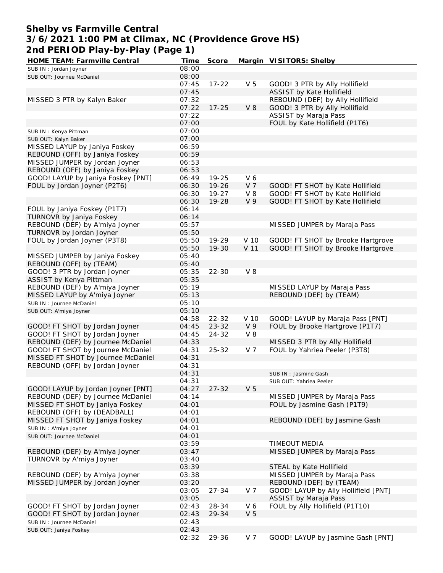### **Shelby vs Farmville Central 3/6/2021 1:00 PM at Climax, NC (Providence Grove HS) 2nd PERIOD Play-by-Play (Page 1)**

| HOME TEAM: Farmville Central       | Time  | Score     |                | Margin VISITORS: Shelby              |
|------------------------------------|-------|-----------|----------------|--------------------------------------|
| SUB IN: Jordan Joyner              | 08:00 |           |                |                                      |
| SUB OUT: Journee McDaniel          | 08:00 |           |                |                                      |
|                                    | 07:45 | $17 - 22$ | V <sub>5</sub> | GOOD! 3 PTR by Ally Hollifield       |
|                                    | 07:45 |           |                | ASSIST by Kate Hollifield            |
| MISSED 3 PTR by Kalyn Baker        | 07:32 |           |                | REBOUND (DEF) by Ally Hollifield     |
|                                    | 07:22 | $17 - 25$ | <b>V8</b>      | GOOD! 3 PTR by Ally Hollifield       |
|                                    |       |           |                |                                      |
|                                    | 07:22 |           |                | ASSIST by Maraja Pass                |
|                                    | 07:00 |           |                | FOUL by Kate Hollifield (P1T6)       |
| SUB IN: Kenya Pittman              | 07:00 |           |                |                                      |
| SUB OUT: Kalyn Baker               | 07:00 |           |                |                                      |
| MISSED LAYUP by Janiya Foskey      | 06:59 |           |                |                                      |
| REBOUND (OFF) by Janiya Foskey     | 06:59 |           |                |                                      |
| MISSED JUMPER by Jordan Joyner     | 06:53 |           |                |                                      |
| REBOUND (OFF) by Janiya Foskey     | 06:53 |           |                |                                      |
| GOOD! LAYUP by Janiya Foskey [PNT] | 06:49 | 19-25     | V6             |                                      |
|                                    | 06:30 | $19 - 26$ | V <sub>7</sub> |                                      |
| FOUL by Jordan Joyner (P2T6)       |       |           |                | GOOD! FT SHOT by Kate Hollifield     |
|                                    | 06:30 | $19 - 27$ | $V_8$          | GOOD! FT SHOT by Kate Hollifield     |
|                                    | 06:30 | 19-28     | V 9            | GOOD! FT SHOT by Kate Hollifield     |
| FOUL by Janiya Foskey (P1T7)       | 06:14 |           |                |                                      |
| TURNOVR by Janiya Foskey           | 06:14 |           |                |                                      |
| REBOUND (DEF) by A'miya Joyner     | 05:57 |           |                | MISSED JUMPER by Maraja Pass         |
| TURNOVR by Jordan Joyner           | 05:50 |           |                |                                      |
| FOUL by Jordan Joyner (P3T8)       | 05:50 | 19-29     | V 10           | GOOD! FT SHOT by Brooke Hartgrove    |
|                                    | 05:50 | 19-30     | V 11           | GOOD! FT SHOT by Brooke Hartgrove    |
| MISSED JUMPER by Janiya Foskey     | 05:40 |           |                |                                      |
| REBOUND (OFF) by (TEAM)            | 05:40 |           |                |                                      |
|                                    |       | $22 - 30$ | $V_8$          |                                      |
| GOOD! 3 PTR by Jordan Joyner       | 05:35 |           |                |                                      |
| ASSIST by Kenya Pittman            | 05:35 |           |                |                                      |
| REBOUND (DEF) by A'miya Joyner     | 05:19 |           |                | MISSED LAYUP by Maraja Pass          |
| MISSED LAYUP by A'miya Joyner      | 05:13 |           |                | REBOUND (DEF) by (TEAM)              |
| SUB IN: Journee McDaniel           | 05:10 |           |                |                                      |
| SUB OUT: A'miya Joyner             | 05:10 |           |                |                                      |
|                                    | 04:58 | $22 - 32$ | V 10           | GOOD! LAYUP by Maraja Pass [PNT]     |
| GOOD! FT SHOT by Jordan Joyner     | 04:45 | $23 - 32$ | V <sub>9</sub> | FOUL by Brooke Hartgrove (P1T7)      |
| GOOD! FT SHOT by Jordan Joyner     | 04:45 | 24-32     | $V_8$          |                                      |
| REBOUND (DEF) by Journee McDaniel  | 04:33 |           |                | MISSED 3 PTR by Ally Hollifield      |
| GOOD! FT SHOT by Journee McDaniel  | 04:31 | $25 - 32$ | V <sub>7</sub> | FOUL by Yahriea Peeler (P3T8)        |
| MISSED FT SHOT by Journee McDaniel | 04:31 |           |                |                                      |
| REBOUND (OFF) by Jordan Joyner     | 04:31 |           |                |                                      |
|                                    | 04:31 |           |                |                                      |
|                                    |       |           |                | SUB IN: Jasmine Gash                 |
|                                    | 04:31 |           |                | SUB OUT: Yahriea Peeler              |
| GOOD! LAYUP by Jordan Joyner [PNT] | 04:27 | $27 - 32$ | V <sub>5</sub> |                                      |
| REBOUND (DEF) by Journee McDaniel  | 04:14 |           |                | MISSED JUMPER by Maraja Pass         |
| MISSED FT SHOT by Janiya Foskey    | 04:01 |           |                | FOUL by Jasmine Gash (P1T9)          |
| REBOUND (OFF) by (DEADBALL)        | 04:01 |           |                |                                      |
| MISSED FT SHOT by Janiya Foskey    | 04:01 |           |                | REBOUND (DEF) by Jasmine Gash        |
| SUB IN: A'miya Joyner              | 04:01 |           |                |                                      |
| SUB OUT: Journee McDaniel          | 04:01 |           |                |                                      |
|                                    | 03:59 |           |                | <b>TIMEOUT MEDIA</b>                 |
| REBOUND (DEF) by A'miya Joyner     | 03:47 |           |                | MISSED JUMPER by Maraja Pass         |
| TURNOVR by A'miya Joyner           | 03:40 |           |                |                                      |
|                                    | 03:39 |           |                | STEAL by Kate Hollifield             |
| REBOUND (DEF) by A'miya Joyner     | 03:38 |           |                | MISSED JUMPER by Maraja Pass         |
| MISSED JUMPER by Jordan Joyner     | 03:20 |           |                | REBOUND (DEF) by (TEAM)              |
|                                    |       |           |                |                                      |
|                                    | 03:05 | $27 - 34$ | V <sub>7</sub> | GOOD! LAYUP by Ally Hollifield [PNT] |
|                                    | 03:05 |           |                | <b>ASSIST by Maraja Pass</b>         |
| GOOD! FT SHOT by Jordan Joyner     | 02:43 | 28-34     | V6             | FOUL by Ally Hollifield (P1T10)      |
| GOOD! FT SHOT by Jordan Joyner     | 02:43 | 29-34     | V <sub>5</sub> |                                      |
| SUB IN: Journee McDaniel           | 02:43 |           |                |                                      |
| SUB OUT: Janiya Foskey             | 02:43 |           |                |                                      |
|                                    | 02:32 | 29-36     | V 7            | GOOD! LAYUP by Jasmine Gash [PNT]    |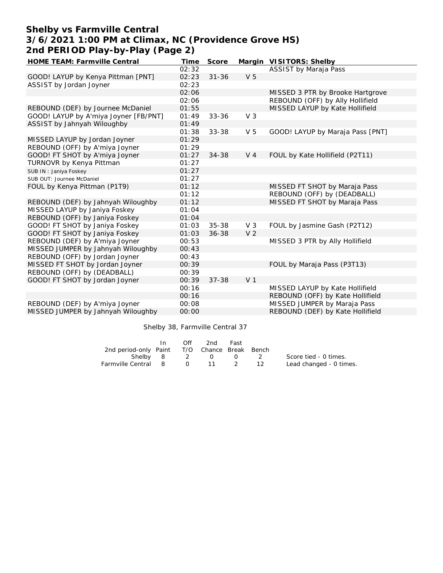# **Shelby vs Farmville Central 3/6/2021 1:00 PM at Climax, NC (Providence Grove HS) 2nd PERIOD Play-by-Play (Page 2)**

| HOME TEAM: Farmville Central          | Time  | Score     |                | Margin VISITORS: Shelby          |
|---------------------------------------|-------|-----------|----------------|----------------------------------|
|                                       | 02:32 |           |                | ASSIST by Maraja Pass            |
| GOOD! LAYUP by Kenya Pittman [PNT]    | 02:23 | $31 - 36$ | V <sub>5</sub> |                                  |
| ASSIST by Jordan Joyner               | 02:23 |           |                |                                  |
|                                       | 02:06 |           |                | MISSED 3 PTR by Brooke Hartgrove |
|                                       | 02:06 |           |                | REBOUND (OFF) by Ally Hollifield |
| REBOUND (DEF) by Journee McDaniel     | 01:55 |           |                | MISSED LAYUP by Kate Hollifield  |
| GOOD! LAYUP by A'miya Joyner [FB/PNT] | 01:49 | $33 - 36$ | V <sub>3</sub> |                                  |
| ASSIST by Jahnyah Wiloughby           | 01:49 |           |                |                                  |
|                                       | 01:38 | 33-38     | V <sub>5</sub> | GOOD! LAYUP by Maraja Pass [PNT] |
| MISSED LAYUP by Jordan Joyner         | 01:29 |           |                |                                  |
| REBOUND (OFF) by A'miya Joyner        | 01:29 |           |                |                                  |
| GOOD! FT SHOT by A'miya Joyner        | 01:27 | 34-38     | V <sub>4</sub> | FOUL by Kate Hollifield (P2T11)  |
| TURNOVR by Kenya Pittman              | 01:27 |           |                |                                  |
| SUB IN: Janiya Foskey                 | 01:27 |           |                |                                  |
| SUB OUT: Journee McDaniel             | 01:27 |           |                |                                  |
| FOUL by Kenya Pittman (P1T9)          | 01:12 |           |                | MISSED FT SHOT by Maraja Pass    |
|                                       | 01:12 |           |                | REBOUND (OFF) by (DEADBALL)      |
| REBOUND (DEF) by Jahnyah Wiloughby    | 01:12 |           |                | MISSED FT SHOT by Maraja Pass    |
| MISSED LAYUP by Janiya Foskey         | 01:04 |           |                |                                  |
| REBOUND (OFF) by Janiya Foskey        | 01:04 |           |                |                                  |
| GOOD! FT SHOT by Janiya Foskey        | 01:03 | $35 - 38$ | $V_3$          | FOUL by Jasmine Gash (P2T12)     |
| GOOD! FT SHOT by Janiya Foskey        | 01:03 | $36 - 38$ | V <sub>2</sub> |                                  |
| REBOUND (DEF) by A'miya Joyner        | 00:53 |           |                | MISSED 3 PTR by Ally Hollifield  |
| MISSED JUMPER by Jahnyah Wiloughby    | 00:43 |           |                |                                  |
| REBOUND (OFF) by Jordan Joyner        | 00:43 |           |                |                                  |
| MISSED FT SHOT by Jordan Joyner       | 00:39 |           |                | FOUL by Maraja Pass (P3T13)      |
| REBOUND (OFF) by (DEADBALL)           | 00:39 |           |                |                                  |
| GOOD! FT SHOT by Jordan Joyner        | 00:39 | $37 - 38$ | V <sub>1</sub> |                                  |
|                                       | 00:16 |           |                | MISSED LAYUP by Kate Hollifield  |
|                                       | 00:16 |           |                | REBOUND (OFF) by Kate Hollifield |
| REBOUND (DEF) by A'miya Joyner        | 00:08 |           |                | MISSED JUMPER by Maraja Pass     |
| MISSED JUMPER by Jahnyah Wiloughby    | 00:00 |           |                | REBOUND (DEF) by Kate Hollifield |

Shelby 38, Farmville Central 37

|                                              | In. | Off by the control of the control of the control of the control of the control of the control of the control o | 2nd       | Fast    |                         |
|----------------------------------------------|-----|----------------------------------------------------------------------------------------------------------------|-----------|---------|-------------------------|
| 2nd period-only Paint T/O Chance Break Bench |     |                                                                                                                |           |         |                         |
|                                              |     | Shelby 8 2 0                                                                                                   |           | $(1)$ 2 | Score tied - 0 times.   |
| Farmville Central 8                          |     |                                                                                                                | 0 11 2 12 |         | Lead changed - 0 times. |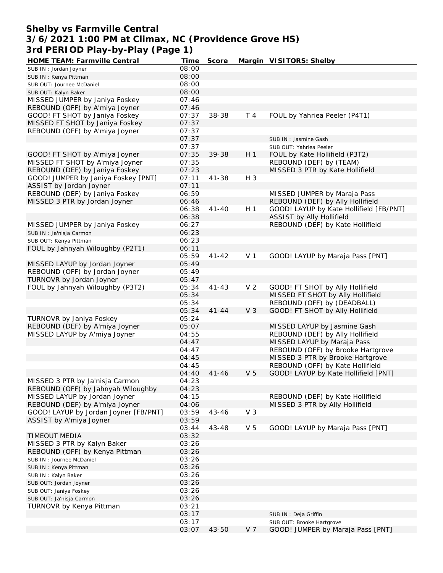#### **Shelby vs Farmville Central 3/6/2021 1:00 PM at Climax, NC (Providence Grove HS) 3rd PERIOD Play-by-Play (Page 1)**

| HOME TEAM: Farmville Central          | Time  | Score     |                | Margin VISITORS: Shelby                                   |
|---------------------------------------|-------|-----------|----------------|-----------------------------------------------------------|
| SUB IN: Jordan Joyner                 | 08:00 |           |                |                                                           |
| SUB IN: Kenya Pittman                 | 08:00 |           |                |                                                           |
| SUB OUT: Journee McDaniel             | 08:00 |           |                |                                                           |
| SUB OUT: Kalyn Baker                  | 08:00 |           |                |                                                           |
| MISSED JUMPER by Janiya Foskey        | 07:46 |           |                |                                                           |
| REBOUND (OFF) by A'miya Joyner        | 07:46 |           |                |                                                           |
| GOOD! FT SHOT by Janiya Foskey        | 07:37 | 38-38     | T 4            | FOUL by Yahriea Peeler (P4T1)                             |
| MISSED FT SHOT by Janiya Foskey       | 07:37 |           |                |                                                           |
| REBOUND (OFF) by A'miya Joyner        | 07:37 |           |                |                                                           |
|                                       | 07:37 |           |                | SUB IN: Jasmine Gash                                      |
|                                       | 07:37 |           |                |                                                           |
|                                       | 07:35 | 39-38     | H <sub>1</sub> | SUB OUT: Yahriea Peeler<br>FOUL by Kate Hollifield (P3T2) |
| GOOD! FT SHOT by A'miya Joyner        |       |           |                |                                                           |
| MISSED FT SHOT by A'miya Joyner       | 07:35 |           |                | REBOUND (DEF) by (TEAM)                                   |
| REBOUND (DEF) by Janiya Foskey        | 07:23 |           |                | MISSED 3 PTR by Kate Hollifield                           |
| GOOD! JUMPER by Janiya Foskey [PNT]   | 07:11 | $41 - 38$ | H 3            |                                                           |
| ASSIST by Jordan Joyner               | 07:11 |           |                |                                                           |
| REBOUND (DEF) by Janiya Foskey        | 06:59 |           |                | MISSED JUMPER by Maraja Pass                              |
| MISSED 3 PTR by Jordan Joyner         | 06:46 |           |                | REBOUND (DEF) by Ally Hollifield                          |
|                                       | 06:38 | $41 - 40$ | H <sub>1</sub> | GOOD! LAYUP by Kate Hollifield [FB/PNT]                   |
|                                       | 06:38 |           |                | ASSIST by Ally Hollifield                                 |
| MISSED JUMPER by Janiya Foskey        | 06:27 |           |                | REBOUND (DEF) by Kate Hollifield                          |
| SUB IN: Ja'nisja Carmon               | 06:23 |           |                |                                                           |
| SUB OUT: Kenya Pittman                | 06:23 |           |                |                                                           |
| FOUL by Jahnyah Wiloughby (P2T1)      | 06:11 |           |                |                                                           |
|                                       | 05:59 | $41 - 42$ | V <sub>1</sub> | GOOD! LAYUP by Maraja Pass [PNT]                          |
| MISSED LAYUP by Jordan Joyner         | 05:49 |           |                |                                                           |
| REBOUND (OFF) by Jordan Joyner        | 05:49 |           |                |                                                           |
| TURNOVR by Jordan Joyner              | 05:47 |           |                |                                                           |
| FOUL by Jahnyah Wiloughby (P3T2)      | 05:34 | $41 - 43$ | V <sub>2</sub> | GOOD! FT SHOT by Ally Hollifield                          |
|                                       | 05:34 |           |                | MISSED FT SHOT by Ally Hollifield                         |
|                                       | 05:34 |           |                | REBOUND (OFF) by (DEADBALL)                               |
|                                       | 05:34 | $41 - 44$ | V <sub>3</sub> | GOOD! FT SHOT by Ally Hollifield                          |
| TURNOVR by Janiya Foskey              | 05:24 |           |                |                                                           |
|                                       |       |           |                |                                                           |
| REBOUND (DEF) by A'miya Joyner        | 05:07 |           |                | MISSED LAYUP by Jasmine Gash                              |
| MISSED LAYUP by A'miya Joyner         | 04:55 |           |                | REBOUND (DEF) by Ally Hollifield                          |
|                                       | 04:47 |           |                | MISSED LAYUP by Maraja Pass                               |
|                                       | 04:47 |           |                | REBOUND (OFF) by Brooke Hartgrove                         |
|                                       | 04:45 |           |                | MISSED 3 PTR by Brooke Hartgrove                          |
|                                       | 04:45 |           |                | REBOUND (OFF) by Kate Hollifield                          |
|                                       | 04:40 | $41 - 46$ | V <sub>5</sub> | GOOD! LAYUP by Kate Hollifield [PNT]                      |
| MISSED 3 PTR by Ja'nisja Carmon       | 04:23 |           |                |                                                           |
| REBOUND (OFF) by Jahnyah Wiloughby    | 04:23 |           |                |                                                           |
| MISSED LAYUP by Jordan Joyner         | 04:15 |           |                | REBOUND (DEF) by Kate Hollifield                          |
| REBOUND (DEF) by A'miya Joyner        | 04:06 |           |                | MISSED 3 PTR by Ally Hollifield                           |
| GOOD! LAYUP by Jordan Joyner [FB/PNT] | 03:59 | $43 - 46$ | V <sub>3</sub> |                                                           |
| ASSIST by A'miya Joyner               | 03:59 |           |                |                                                           |
|                                       | 03:44 | $43 - 48$ | V <sub>5</sub> | GOOD! LAYUP by Maraja Pass [PNT]                          |
| TIMEOUT MEDIA                         | 03:32 |           |                |                                                           |
| MISSED 3 PTR by Kalyn Baker           | 03:26 |           |                |                                                           |
| REBOUND (OFF) by Kenya Pittman        | 03:26 |           |                |                                                           |
| SUB IN : Journee McDaniel             | 03:26 |           |                |                                                           |
| SUB IN: Kenya Pittman                 | 03:26 |           |                |                                                           |
| SUB IN: Kalyn Baker                   | 03:26 |           |                |                                                           |
| SUB OUT: Jordan Joyner                | 03:26 |           |                |                                                           |
| SUB OUT: Janiya Foskey                | 03:26 |           |                |                                                           |
| SUB OUT: Ja'nisja Carmon              | 03:26 |           |                |                                                           |
| TURNOVR by Kenya Pittman              | 03:21 |           |                |                                                           |
|                                       | 03:17 |           |                | SUB IN : Deja Griffin                                     |
|                                       | 03:17 |           |                | SUB OUT: Brooke Hartgrove                                 |
|                                       | 03:07 | $43 - 50$ | V 7            | GOOD! JUMPER by Maraja Pass [PNT]                         |
|                                       |       |           |                |                                                           |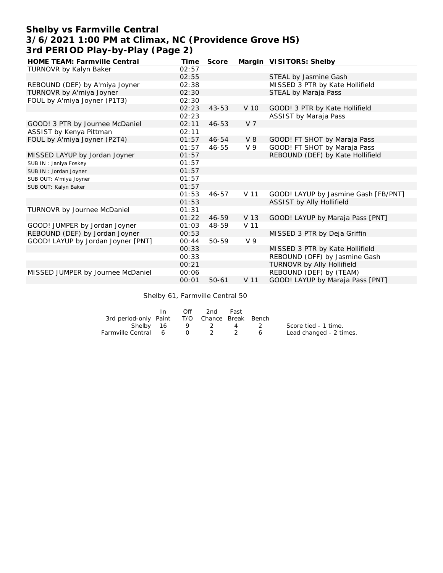## **Shelby vs Farmville Central 3/6/2021 1:00 PM at Climax, NC (Providence Grove HS) 3rd PERIOD Play-by-Play (Page 2)**

| HOME TEAM: Farmville Central       | Time  | Score     |                 | Margin VISITORS: Shelby              |
|------------------------------------|-------|-----------|-----------------|--------------------------------------|
| TURNOVR by Kalyn Baker             | 02:57 |           |                 |                                      |
|                                    | 02:55 |           |                 | STEAL by Jasmine Gash                |
| REBOUND (DEF) by A'miya Joyner     | 02:38 |           |                 | MISSED 3 PTR by Kate Hollifield      |
| TURNOVR by A'miya Joyner           | 02:30 |           |                 | STEAL by Maraja Pass                 |
| FOUL by A'miya Joyner (P1T3)       | 02:30 |           |                 |                                      |
|                                    | 02:23 | $43 - 53$ | V 10            | GOOD! 3 PTR by Kate Hollifield       |
|                                    | 02:23 |           |                 | ASSIST by Maraja Pass                |
| GOOD! 3 PTR by Journee McDaniel    | 02:11 | $46 - 53$ | V <sub>7</sub>  |                                      |
| ASSIST by Kenya Pittman            | 02:11 |           |                 |                                      |
| FOUL by A'miya Joyner (P2T4)       | 01:57 | 46-54     | V8              | GOOD! FT SHOT by Maraja Pass         |
|                                    | 01:57 | $46 - 55$ | V <sub>9</sub>  | GOOD! FT SHOT by Maraja Pass         |
| MISSED LAYUP by Jordan Joyner      | 01:57 |           |                 | REBOUND (DEF) by Kate Hollifield     |
| SUB IN: Janiya Foskey              | 01:57 |           |                 |                                      |
| SUB IN: Jordan Joyner              | 01:57 |           |                 |                                      |
| SUB OUT: A'miya Joyner             | 01:57 |           |                 |                                      |
| SUB OUT: Kalyn Baker               | 01:57 |           |                 |                                      |
|                                    | 01:53 | 46-57     | V 11            | GOOD! LAYUP by Jasmine Gash [FB/PNT] |
|                                    | 01:53 |           |                 | ASSIST by Ally Hollifield            |
| TURNOVR by Journee McDaniel        | 01:31 |           |                 |                                      |
|                                    | 01:22 | 46-59     | V 13            | GOOD! LAYUP by Maraja Pass [PNT]     |
| GOOD! JUMPER by Jordan Joyner      | 01:03 | 48-59     | V <sub>11</sub> |                                      |
| REBOUND (DEF) by Jordan Joyner     | 00:53 |           |                 | MISSED 3 PTR by Deja Griffin         |
| GOOD! LAYUP by Jordan Joyner [PNT] | 00:44 | 50-59     | V <sub>9</sub>  |                                      |
|                                    | 00:33 |           |                 | MISSED 3 PTR by Kate Hollifield      |
|                                    | 00:33 |           |                 | REBOUND (OFF) by Jasmine Gash        |
|                                    | 00:21 |           |                 | TURNOVR by Ally Hollifield           |
| MISSED JUMPER by Journee McDaniel  | 00:06 |           |                 | REBOUND (DEF) by (TEAM)              |
|                                    | 00:01 | $50 - 61$ | V 11            | GOOD! LAYUP by Maraja Pass [PNT]     |

Shelby 61, Farmville Central 50

|                                              | In. | Off | 2nd               | Fast |                |                         |
|----------------------------------------------|-----|-----|-------------------|------|----------------|-------------------------|
| 3rd period-only Paint T/O Chance Break Bench |     |     |                   |      |                |                         |
|                                              |     |     | Shelby 16 9 2 4 2 |      |                | Score tied - 1 time.    |
| Farmville Central 6 0 2 2                    |     |     |                   |      | 6 <sup>6</sup> | Lead changed - 2 times. |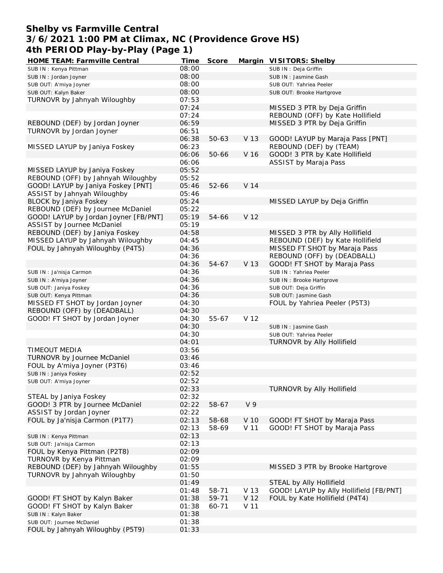#### **Shelby vs Farmville Central 3/6/2021 1:00 PM at Climax, NC (Providence Grove HS) 4th PERIOD Play-by-Play (Page 1)**

| HOME TEAM: Farmville Central          | Time  | Score     |                | Margin VISITORS: Shelby                 |
|---------------------------------------|-------|-----------|----------------|-----------------------------------------|
| SUB IN: Kenya Pittman                 | 08:00 |           |                | SUB IN : Deja Griffin                   |
| SUB IN: Jordan Joyner                 | 08:00 |           |                | SUB IN: Jasmine Gash                    |
| SUB OUT: A'miya Joyner                | 08:00 |           |                | SUB OUT: Yahriea Peeler                 |
| SUB OUT: Kalyn Baker                  | 08:00 |           |                | SUB OUT: Brooke Hartgrove               |
| TURNOVR by Jahnyah Wiloughby          | 07:53 |           |                |                                         |
|                                       | 07:24 |           |                | MISSED 3 PTR by Deja Griffin            |
|                                       | 07:24 |           |                | REBOUND (OFF) by Kate Hollifield        |
| REBOUND (DEF) by Jordan Joyner        | 06:59 |           |                | MISSED 3 PTR by Deja Griffin            |
| TURNOVR by Jordan Joyner              | 06:51 |           |                |                                         |
|                                       | 06:38 | $50 - 63$ | V 13           | GOOD! LAYUP by Maraja Pass [PNT]        |
| MISSED LAYUP by Janiya Foskey         | 06:23 |           |                | REBOUND (DEF) by (TEAM)                 |
|                                       |       | 50-66     |                | GOOD! 3 PTR by Kate Hollifield          |
|                                       | 06:06 |           | V 16           |                                         |
|                                       | 06:06 |           |                | ASSIST by Maraja Pass                   |
| MISSED LAYUP by Janiya Foskey         | 05:52 |           |                |                                         |
| REBOUND (OFF) by Jahnyah Wiloughby    | 05:52 |           |                |                                         |
| GOOD! LAYUP by Janiya Foskey [PNT]    | 05:46 | $52 - 66$ | V 14           |                                         |
| ASSIST by Jahnyah Wiloughby           | 05:46 |           |                |                                         |
| BLOCK by Janiya Foskey                | 05:24 |           |                | MISSED LAYUP by Deja Griffin            |
| REBOUND (DEF) by Journee McDaniel     | 05:22 |           |                |                                         |
| GOOD! LAYUP by Jordan Joyner [FB/PNT] | 05:19 | 54-66     | V 12           |                                         |
| ASSIST by Journee McDaniel            | 05:19 |           |                |                                         |
| REBOUND (DEF) by Janiya Foskey        | 04:58 |           |                | MISSED 3 PTR by Ally Hollifield         |
| MISSED LAYUP by Jahnyah Wiloughby     | 04:45 |           |                | REBOUND (DEF) by Kate Hollifield        |
| FOUL by Jahnyah Wiloughby (P4T5)      | 04:36 |           |                | MISSED FT SHOT by Maraja Pass           |
|                                       | 04:36 |           |                | REBOUND (OFF) by (DEADBALL)             |
|                                       | 04:36 | $54 - 67$ | V 13           | GOOD! FT SHOT by Maraja Pass            |
| SUB IN : Ja'nisja Carmon              | 04:36 |           |                | SUB IN: Yahriea Peeler                  |
| SUB IN: A'miya Joyner                 | 04:36 |           |                | SUB IN: Brooke Hartgrove                |
| SUB OUT: Janiya Foskey                | 04:36 |           |                | SUB OUT: Deja Griffin                   |
| SUB OUT: Kenya Pittman                | 04:36 |           |                | SUB OUT: Jasmine Gash                   |
| MISSED FT SHOT by Jordan Joyner       | 04:30 |           |                | FOUL by Yahriea Peeler (P5T3)           |
| REBOUND (OFF) by (DEADBALL)           | 04:30 |           |                |                                         |
| GOOD! FT SHOT by Jordan Joyner        | 04:30 | 55-67     | V 12           |                                         |
|                                       | 04:30 |           |                |                                         |
|                                       | 04:30 |           |                | SUB IN: Jasmine Gash                    |
|                                       |       |           |                | SUB OUT: Yahriea Peeler                 |
| TIMEOUT MEDIA                         | 04:01 |           |                | TURNOVR by Ally Hollifield              |
| TURNOVR by Journee McDaniel           | 03:56 |           |                |                                         |
|                                       | 03:46 |           |                |                                         |
| FOUL by A'miya Joyner (P3T6)          | 03:46 |           |                |                                         |
| SUB IN: Janiya Foskey                 | 02:52 |           |                |                                         |
| SUB OUT: A'miya Joyner                | 02:52 |           |                |                                         |
|                                       | 02:33 |           |                | TURNOVR by Ally Hollifield              |
| STEAL by Janiya Foskey                | 02:32 |           |                |                                         |
| GOOD! 3 PTR by Journee McDaniel       | 02:22 | 58-67     | V <sub>9</sub> |                                         |
| ASSIST by Jordan Joyner               | 02:22 |           |                |                                         |
| FOUL by Ja'nisja Carmon (P1T7)        | 02:13 | 58-68     | V 10           | GOOD! FT SHOT by Maraja Pass            |
|                                       | 02:13 | 58-69     | V 11           | GOOD! FT SHOT by Maraja Pass            |
| SUB IN: Kenya Pittman                 | 02:13 |           |                |                                         |
| SUB OUT: Ja'nisja Carmon              | 02:13 |           |                |                                         |
| FOUL by Kenya Pittman (P2T8)          | 02:09 |           |                |                                         |
| TURNOVR by Kenya Pittman              | 02:09 |           |                |                                         |
| REBOUND (DEF) by Jahnyah Wiloughby    | 01:55 |           |                | MISSED 3 PTR by Brooke Hartgrove        |
| TURNOVR by Jahnyah Wiloughby          | 01:50 |           |                |                                         |
|                                       | 01:49 |           |                | STEAL by Ally Hollifield                |
|                                       | 01:48 | 58-71     | V 13           | GOOD! LAYUP by Ally Hollifield [FB/PNT] |
| GOOD! FT SHOT by Kalyn Baker          | 01:38 | 59-71     | V 12           | FOUL by Kate Hollifield (P4T4)          |
| GOOD! FT SHOT by Kalyn Baker          | 01:38 | 60-71     | V 11           |                                         |
| SUB IN: Kalyn Baker                   | 01:38 |           |                |                                         |
| SUB OUT: Journee McDaniel             | 01:38 |           |                |                                         |
| FOUL by Jahnyah Wiloughby (P5T9)      | 01:33 |           |                |                                         |